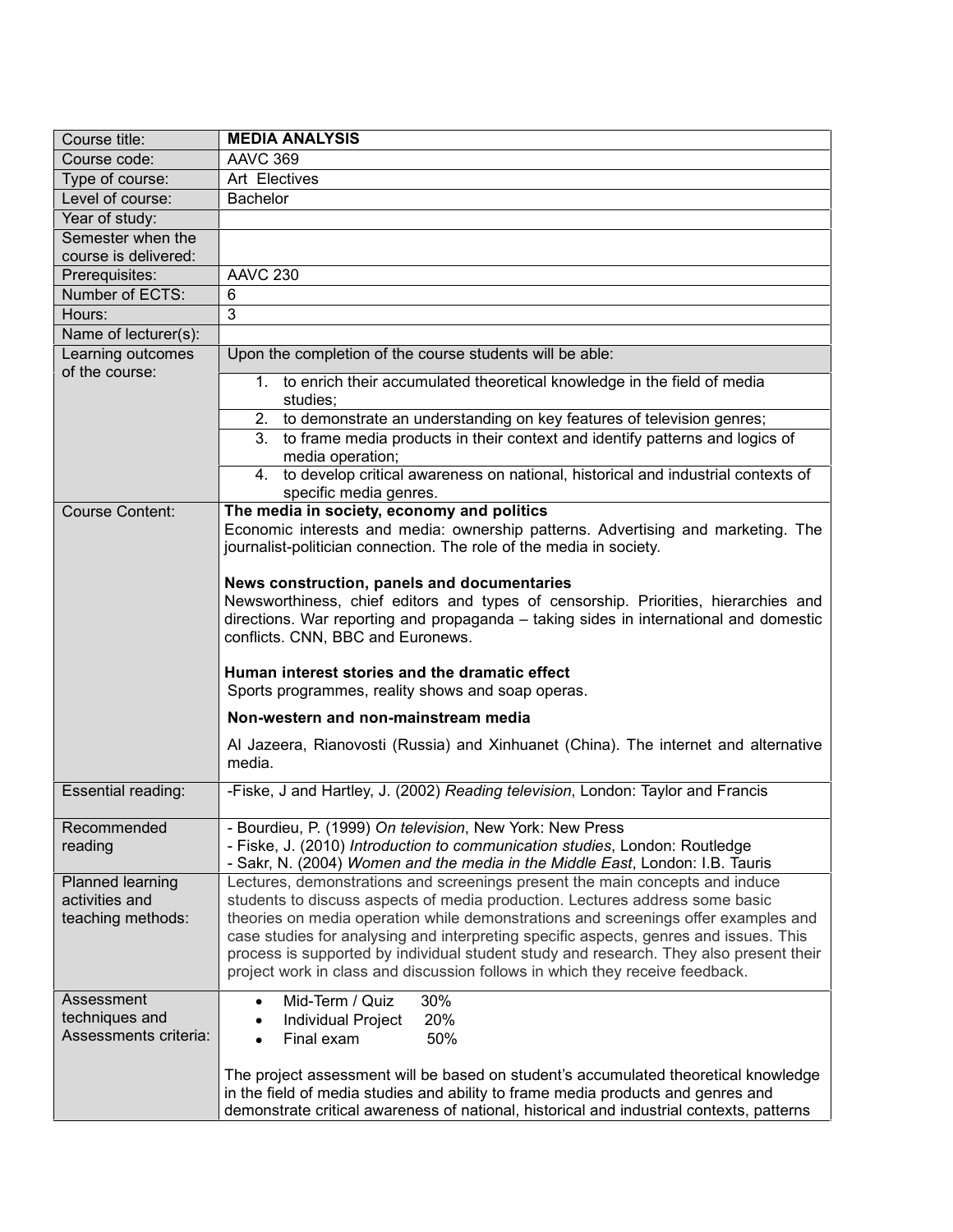| Course title:                                           | <b>MEDIA ANALYSIS</b>                                                                                                                                                                                                                                                                                                                                                                                                                                                                                                 |  |  |
|---------------------------------------------------------|-----------------------------------------------------------------------------------------------------------------------------------------------------------------------------------------------------------------------------------------------------------------------------------------------------------------------------------------------------------------------------------------------------------------------------------------------------------------------------------------------------------------------|--|--|
| Course code:                                            | <b>AAVC 369</b>                                                                                                                                                                                                                                                                                                                                                                                                                                                                                                       |  |  |
| Type of course:                                         | Art Electives                                                                                                                                                                                                                                                                                                                                                                                                                                                                                                         |  |  |
| Level of course:                                        | <b>Bachelor</b>                                                                                                                                                                                                                                                                                                                                                                                                                                                                                                       |  |  |
| Year of study:                                          |                                                                                                                                                                                                                                                                                                                                                                                                                                                                                                                       |  |  |
| Semester when the<br>course is delivered:               |                                                                                                                                                                                                                                                                                                                                                                                                                                                                                                                       |  |  |
| Prerequisites:                                          | <b>AAVC 230</b>                                                                                                                                                                                                                                                                                                                                                                                                                                                                                                       |  |  |
| Number of ECTS:                                         | 6                                                                                                                                                                                                                                                                                                                                                                                                                                                                                                                     |  |  |
| Hours:                                                  | 3                                                                                                                                                                                                                                                                                                                                                                                                                                                                                                                     |  |  |
| Name of lecturer(s):                                    |                                                                                                                                                                                                                                                                                                                                                                                                                                                                                                                       |  |  |
| Learning outcomes                                       | Upon the completion of the course students will be able:                                                                                                                                                                                                                                                                                                                                                                                                                                                              |  |  |
| of the course:                                          | 1. to enrich their accumulated theoretical knowledge in the field of media<br>studies;                                                                                                                                                                                                                                                                                                                                                                                                                                |  |  |
|                                                         | 2. to demonstrate an understanding on key features of television genres;                                                                                                                                                                                                                                                                                                                                                                                                                                              |  |  |
|                                                         | 3. to frame media products in their context and identify patterns and logics of<br>media operation;                                                                                                                                                                                                                                                                                                                                                                                                                   |  |  |
|                                                         | 4. to develop critical awareness on national, historical and industrial contexts of<br>specific media genres.                                                                                                                                                                                                                                                                                                                                                                                                         |  |  |
| <b>Course Content:</b>                                  | The media in society, economy and politics<br>Economic interests and media: ownership patterns. Advertising and marketing. The<br>journalist-politician connection. The role of the media in society.                                                                                                                                                                                                                                                                                                                 |  |  |
|                                                         | News construction, panels and documentaries<br>Newsworthiness, chief editors and types of censorship. Priorities, hierarchies and<br>directions. War reporting and propaganda - taking sides in international and domestic<br>conflicts. CNN, BBC and Euronews.                                                                                                                                                                                                                                                       |  |  |
|                                                         | Human interest stories and the dramatic effect<br>Sports programmes, reality shows and soap operas.                                                                                                                                                                                                                                                                                                                                                                                                                   |  |  |
|                                                         | Non-western and non-mainstream media                                                                                                                                                                                                                                                                                                                                                                                                                                                                                  |  |  |
|                                                         | Al Jazeera, Rianovosti (Russia) and Xinhuanet (China). The internet and alternative<br>media.                                                                                                                                                                                                                                                                                                                                                                                                                         |  |  |
| Essential reading:                                      | -Fiske, J and Hartley, J. (2002) Reading television, London: Taylor and Francis                                                                                                                                                                                                                                                                                                                                                                                                                                       |  |  |
| Recommended<br>reading                                  | Bourdieu, P. (1999) On television, New York: New Press<br>- Fiske, J. (2010) Introduction to communication studies, London: Routledge<br>- Sakr, N. (2004) Women and the media in the Middle East, London: I.B. Tauris                                                                                                                                                                                                                                                                                                |  |  |
| Planned learning<br>activities and<br>teaching methods: | Lectures, demonstrations and screenings present the main concepts and induce<br>students to discuss aspects of media production. Lectures address some basic<br>theories on media operation while demonstrations and screenings offer examples and<br>case studies for analysing and interpreting specific aspects, genres and issues. This<br>process is supported by individual student study and research. They also present their<br>project work in class and discussion follows in which they receive feedback. |  |  |
| Assessment<br>techniques and<br>Assessments criteria:   | Mid-Term / Quiz<br>30%<br>20%<br>Individual Project<br>Final exam<br>50%                                                                                                                                                                                                                                                                                                                                                                                                                                              |  |  |
|                                                         | The project assessment will be based on student's accumulated theoretical knowledge<br>in the field of media studies and ability to frame media products and genres and<br>demonstrate critical awareness of national, historical and industrial contexts, patterns                                                                                                                                                                                                                                                   |  |  |